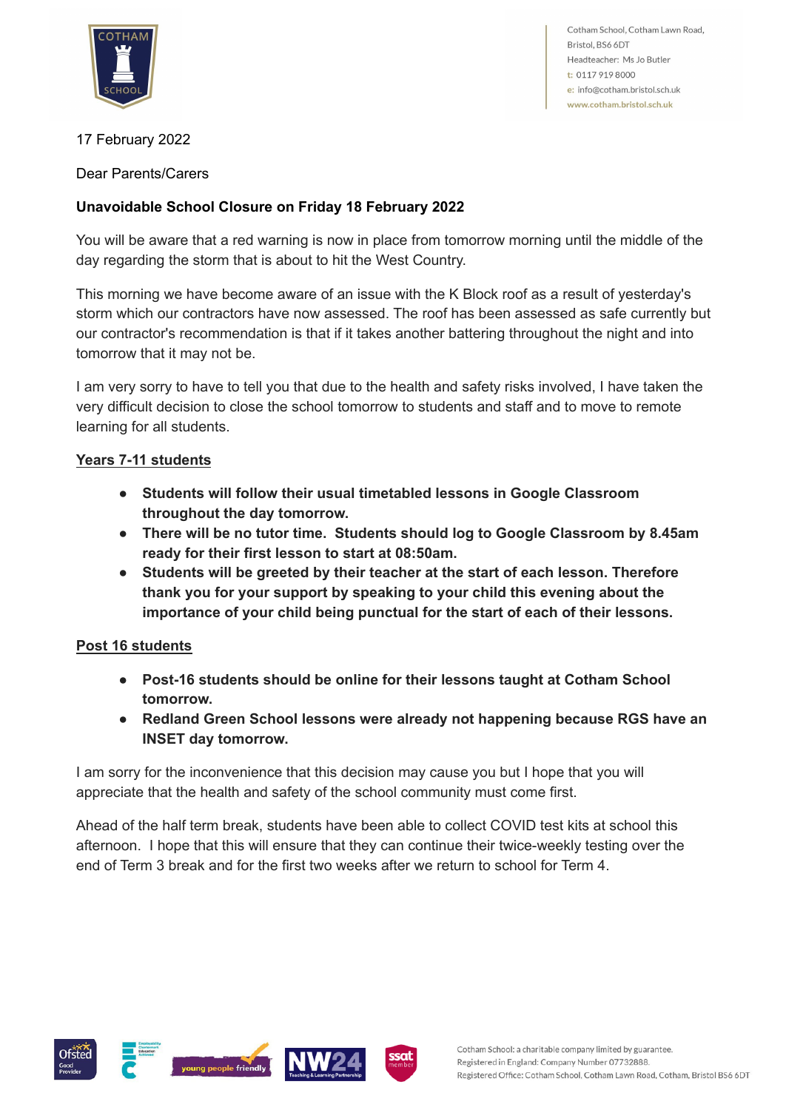

Cotham School, Cotham Lawn Road, Bristol, BS6 6DT Headteacher: Ms Jo Butler t: 0117 919 8000 e: info@cotham.bristol.sch.uk www.cotham.bristol.sch.uk

## 17 February 2022

Dear Parents/Carers

## **Unavoidable School Closure on Friday 18 February 2022**

You will be aware that a red warning is now in place from tomorrow morning until the middle of the day regarding the storm that is about to hit the West Country.

This morning we have become aware of an issue with the K Block roof as a result of yesterday's storm which our contractors have now assessed. The roof has been assessed as safe currently but our contractor's recommendation is that if it takes another battering throughout the night and into tomorrow that it may not be.

I am very sorry to have to tell you that due to the health and safety risks involved, I have taken the very difficult decision to close the school tomorrow to students and staff and to move to remote learning for all students.

## **Years 7-11 students**

- **● Students will follow their usual timetabled lessons in Google Classroom throughout the day tomorrow.**
- **● There will be no tutor time. Students should log to Google Classroom by 8.45am ready for their first lesson to start at 08:50am.**
- **● Students will be greeted by their teacher at the start of each lesson. Therefore thank you for your support by speaking to your child this evening about the importance of your child being punctual for the start of each of their lessons.**

## **Post 16 students**

- **● Post-16 students should be online for their lessons taught at Cotham School tomorrow.**
- **● Redland Green School lessons were already not happening because RGS have an INSET day tomorrow.**

I am sorry for the inconvenience that this decision may cause you but I hope that you will appreciate that the health and safety of the school community must come first.

Ahead of the half term break, students have been able to collect COVID test kits at school this afternoon. I hope that this will ensure that they can continue their twice-weekly testing over the end of Term 3 break and for the first two weeks after we return to school for Term 4.